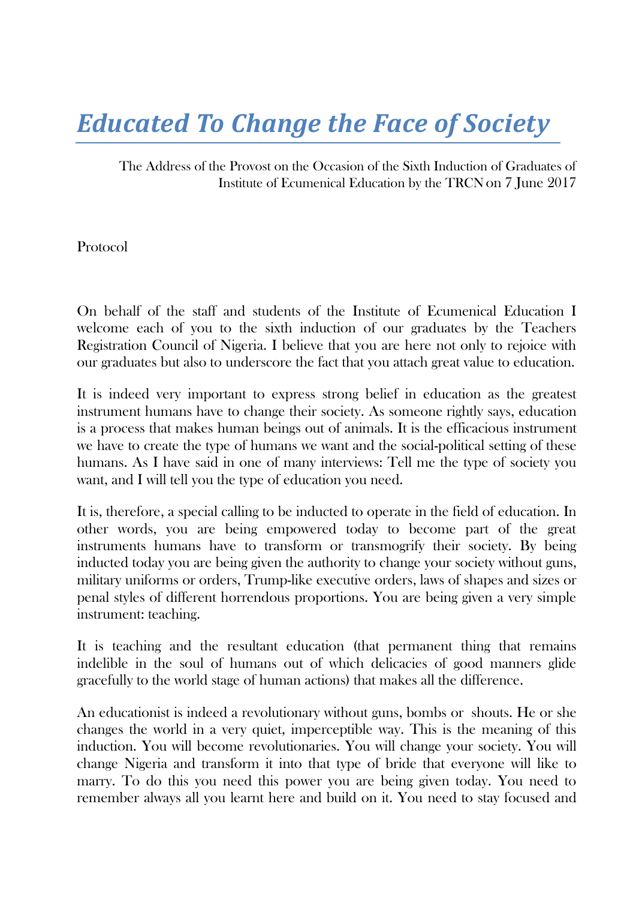## *Educated To Change the Face of Society*

The Address of the Provost on the Occasion of the Sixth Induction of Graduates of Institute of Ecumenical Education by the TRCNon 7 June 2017

Protocol

On behalf of the staff and students of the Institute of Ecumenical Education I welcome each of you to the sixth induction of our graduates by the Teachers Registration Council of Nigeria. I believe that you are here not only to rejoice with our graduates but also to underscore the fact that you attach great value to education.

It is indeed very important to express strong belief in education as the greatest instrument humans have to change their society. As someone rightly says, education is a process that makes human beings out of animals. It is the efficacious instrument we have to create the type of humans we want and the social-political setting of these humans. As I have said in one of many interviews: Tell me the type of society you want, and I will tell you the type of education you need.

It is, therefore, a special calling to be inducted to operate in the field of education. In other words, you are being empowered today to become part of the great instruments humans have to transform or transmogrify their society. By being inducted today you are being given the authority to change your society without guns, military uniforms or orders, Trump-like executive orders, laws of shapes and sizes or penal styles of different horrendous proportions. You are being given a very simple instrument: teaching.

It is teaching and the resultant education (that permanent thing that remains indelible in the soul of humans out of which delicacies of good manners glide gracefully to the world stage of human actions) that makes all the difference.

An educationist is indeed a revolutionary without guns, bombs or shouts. He or she changes the world in a very quiet, imperceptible way. This is the meaning of this induction. You will become revolutionaries. You will change your society. You will change Nigeria and transform it into that type of bride that everyone will like to marry. To do this you need this power you are being given today. You need to remember always all you learnt here and build on it. You need to stay focused and